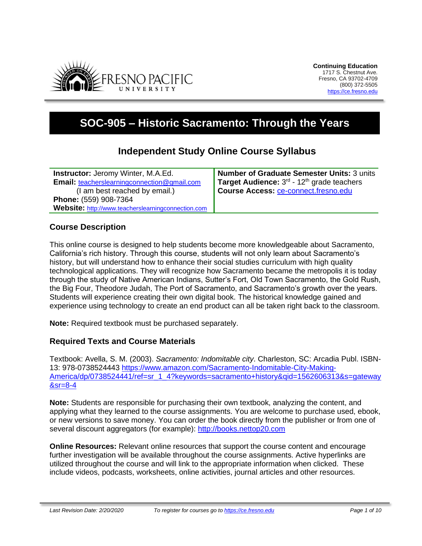

# **SOC-905 – Historic Sacramento: Through the Years**

# **Independent Study Online Course Syllabus**

**Instructor:** Jeromy Winter, M.A.Ed. **Email:** [teacherslearningconnection@gmail.com](mailto:http://www.teacherslearningconnection.com) (I am best reached by email.) **Phone:** (559) 908-7364 **Website:** [http://www.teacherslearningconnection.com](http://www.teacherslearningconnection.com/) **Number of Graduate Semester Units:** 3 units **Target Audience:** 3<sup>rd</sup> - 12<sup>th</sup> grade teachers **Course Access:** [ce-connect.fresno.edu](https://ce-connect.fresno.edu/)

# **Course Description**

This online course is designed to help students become more knowledgeable about Sacramento, California's rich history. Through this course, students will not only learn about Sacramento's history, but will understand how to enhance their social studies curriculum with high quality technological applications. They will recognize how Sacramento became the metropolis it is today through the study of Native American Indians, Sutter's Fort, Old Town Sacramento, the Gold Rush, the Big Four, Theodore Judah, The Port of Sacramento, and Sacramento's growth over the years. Students will experience creating their own digital book. The historical knowledge gained and experience using technology to create an end product can all be taken right back to the classroom.

**Note:** Required textbook must be purchased separately.

# **Required Texts and Course Materials**

Textbook: Avella, S. M. (2003). *Sacramento: Indomitable city*. Charleston, SC: Arcadia Publ. ISBN-13: 978-0738524443 [https://www.amazon.com/Sacramento-Indomitable-City-Making-](https://www.amazon.com/Sacramento-Indomitable-City-Making-America/dp/0738524441/ref=sr_1_4?keywords=sacramento+history&qid=1562606313&s=gateway&sr=8-4)America/dp/0738524441/ref=sr\_1\_4?keywords=sacramento+history&gid=1562606313&s=gateway [&sr=8-4](https://www.amazon.com/Sacramento-Indomitable-City-Making-America/dp/0738524441/ref=sr_1_4?keywords=sacramento+history&qid=1562606313&s=gateway&sr=8-4)

**Note:** Students are responsible for purchasing their own textbook, analyzing the content, and applying what they learned to the course assignments. You are welcome to purchase used, ebook, or new versions to save money. You can order the book directly from the publisher or from one of several discount aggregators (for example): [http://books.nettop20.com](http://books.nettop20.com/)

**Online Resources:** Relevant online resources that support the course content and encourage further investigation will be available throughout the course assignments. Active hyperlinks are utilized throughout the course and will link to the appropriate information when clicked. These include videos, podcasts, worksheets, online activities, journal articles and other resources.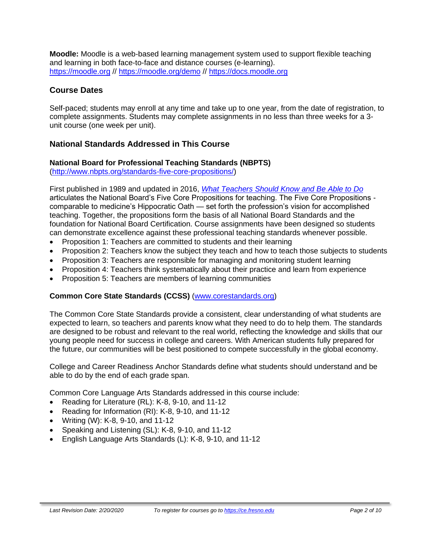**Moodle:** Moodle is a web-based learning management system used to support flexible teaching and learning in both face-to-face and distance courses (e-learning). [https://moodle.org](https://moodle.org/) // <https://moodle.org/demo> // [https://docs.moodle.org](https://docs.moodle.org/)

# **Course Dates**

Self-paced; students may enroll at any time and take up to one year, from the date of registration, to complete assignments. Students may complete assignments in no less than three weeks for a 3 unit course (one week per unit).

# **National Standards Addressed in This Course**

#### **National Board for Professional Teaching Standards (NBPTS)**

[\(http://www.nbpts.org/standards-five-core-propositions/\)](http://www.nbpts.org/standards-five-core-propositions/)

First published in 1989 and updated in 2016, *[What Teachers Should Know and Be Able to Do](http://www.accomplishedteacher.org/)* articulates the National Board's Five Core Propositions for teaching. The Five Core Propositions comparable to medicine's Hippocratic Oath — set forth the profession's vision for accomplished teaching. Together, the propositions form the basis of all National Board Standards and the foundation for National Board Certification. Course assignments have been designed so students can demonstrate excellence against these professional teaching standards whenever possible.

- Proposition 1: Teachers are committed to students and their learning
- Proposition 2: Teachers know the subject they teach and how to teach those subjects to students
- Proposition 3: Teachers are responsible for managing and monitoring student learning
- Proposition 4: Teachers think systematically about their practice and learn from experience
- Proposition 5: Teachers are members of learning communities

#### **Common Core State Standards (CCSS)** [\(www.corestandards.org\)](http://www.corestandards.org/)

The Common Core State Standards provide a consistent, clear understanding of what students are expected to learn, so teachers and parents know what they need to do to help them. The standards are designed to be robust and relevant to the real world, reflecting the knowledge and skills that our young people need for success in college and careers. With American students fully prepared for the future, our communities will be best positioned to compete successfully in the global economy.

College and Career Readiness Anchor Standards define what students should understand and be able to do by the end of each grade span.

Common Core Language Arts Standards addressed in this course include:

- Reading for Literature (RL): K-8, 9-10, and 11-12
- Reading for Information (RI): K-8, 9-10, and 11-12
- Writing (W): K-8, 9-10, and 11-12
- Speaking and Listening (SL): K-8, 9-10, and 11-12
- English Language Arts Standards (L): K-8, 9-10, and 11-12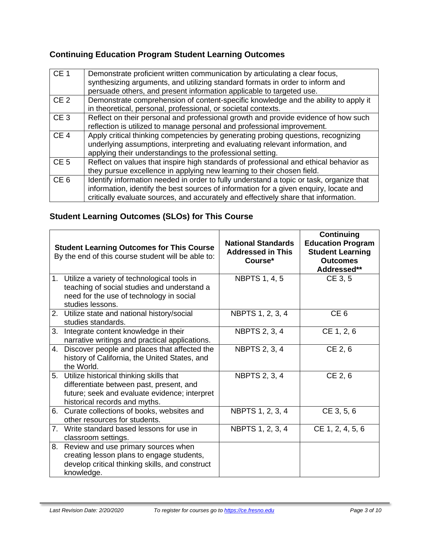# **Continuing Education Program Student Learning Outcomes**

| CE <sub>1</sub> | Demonstrate proficient written communication by articulating a clear focus,<br>synthesizing arguments, and utilizing standard formats in order to inform and<br>persuade others, and present information applicable to targeted use.                                    |
|-----------------|-------------------------------------------------------------------------------------------------------------------------------------------------------------------------------------------------------------------------------------------------------------------------|
| CE <sub>2</sub> | Demonstrate comprehension of content-specific knowledge and the ability to apply it<br>in theoretical, personal, professional, or societal contexts.                                                                                                                    |
| CE <sub>3</sub> | Reflect on their personal and professional growth and provide evidence of how such<br>reflection is utilized to manage personal and professional improvement.                                                                                                           |
| CE <sub>4</sub> | Apply critical thinking competencies by generating probing questions, recognizing<br>underlying assumptions, interpreting and evaluating relevant information, and<br>applying their understandings to the professional setting.                                        |
| CE <sub>5</sub> | Reflect on values that inspire high standards of professional and ethical behavior as<br>they pursue excellence in applying new learning to their chosen field.                                                                                                         |
| CE <sub>6</sub> | Identify information needed in order to fully understand a topic or task, organize that<br>information, identify the best sources of information for a given enquiry, locate and<br>critically evaluate sources, and accurately and effectively share that information. |

# **Student Learning Outcomes (SLOs) for This Course**

|    | <b>Student Learning Outcomes for This Course</b><br>By the end of this course student will be able to:                                                                   | <b>National Standards</b><br><b>Addressed in This</b><br>Course* | Continuing<br><b>Education Program</b><br><b>Student Learning</b><br><b>Outcomes</b><br>Addressed** |
|----|--------------------------------------------------------------------------------------------------------------------------------------------------------------------------|------------------------------------------------------------------|-----------------------------------------------------------------------------------------------------|
|    | 1. Utilize a variety of technological tools in<br>teaching of social studies and understand a<br>need for the use of technology in social<br>studies lessons.            | <b>NBPTS 1, 4, 5</b>                                             | CE 3, 5                                                                                             |
|    | 2. Utilize state and national history/social<br>studies standards.                                                                                                       | NBPTS 1, 2, 3, 4                                                 | CE <sub>6</sub>                                                                                     |
| 3. | Integrate content knowledge in their<br>narrative writings and practical applications.                                                                                   | <b>NBPTS 2, 3, 4</b>                                             | CE 1, 2, 6                                                                                          |
|    | 4. Discover people and places that affected the<br>history of California, the United States, and<br>the World.                                                           | <b>NBPTS 2, 3, 4</b>                                             | CE 2, 6                                                                                             |
|    | 5. Utilize historical thinking skills that<br>differentiate between past, present, and<br>future; seek and evaluate evidence; interpret<br>historical records and myths. | <b>NBPTS 2, 3, 4</b>                                             | CE 2, 6                                                                                             |
|    | 6. Curate collections of books, websites and<br>other resources for students.                                                                                            | NBPTS 1, 2, 3, 4                                                 | CE 3, 5, 6                                                                                          |
| 7. | Write standard based lessons for use in<br>classroom settings.                                                                                                           | NBPTS 1, 2, 3, 4                                                 | CE 1, 2, 4, 5, 6                                                                                    |
| 8. | Review and use primary sources when<br>creating lesson plans to engage students,<br>develop critical thinking skills, and construct<br>knowledge.                        |                                                                  |                                                                                                     |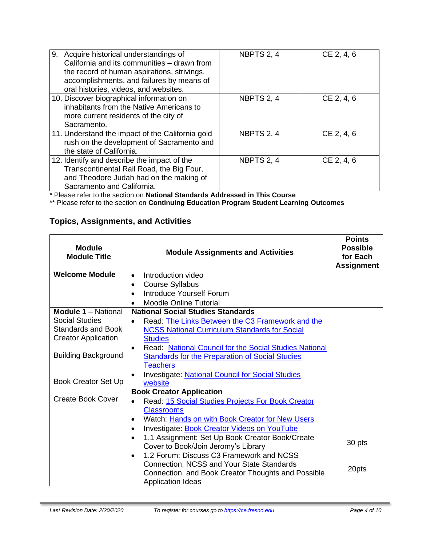| 9. Acquire historical understandings of<br>California and its communities - drawn from<br>the record of human aspirations, strivings,<br>accomplishments, and failures by means of<br>oral histories, videos, and websites. | NBPTS 2, 4 | CE 2, 4, 6 |
|-----------------------------------------------------------------------------------------------------------------------------------------------------------------------------------------------------------------------------|------------|------------|
| 10. Discover biographical information on<br>inhabitants from the Native Americans to<br>more current residents of the city of<br>Sacramento.                                                                                | NBPTS 2, 4 | CE 2, 4, 6 |
| 11. Understand the impact of the California gold<br>rush on the development of Sacramento and<br>the state of California.                                                                                                   | NBPTS 2, 4 | CE 2, 4, 6 |
| 12. Identify and describe the impact of the<br>Transcontinental Rail Road, the Big Four,<br>and Theodore Judah had on the making of<br>Sacramento and California.                                                           | NBPTS 2, 4 | CE 2, 4, 6 |

\* Please refer to the section on **National Standards Addressed in This Course**

\*\* Please refer to the section on **Continuing Education Program Student Learning Outcomes**

# **Topics, Assignments, and Activities**

| <b>Module</b><br><b>Module Title</b> | <b>Module Assignments and Activities</b>                     | <b>Points</b><br><b>Possible</b><br>for Each<br><b>Assignment</b> |
|--------------------------------------|--------------------------------------------------------------|-------------------------------------------------------------------|
| <b>Welcome Module</b>                | Introduction video<br>$\bullet$                              |                                                                   |
|                                      | <b>Course Syllabus</b><br>٠                                  |                                                                   |
|                                      | <b>Introduce Yourself Forum</b>                              |                                                                   |
|                                      | <b>Moodle Online Tutorial</b><br>$\bullet$                   |                                                                   |
| <b>Module 1 - National</b>           | <b>National Social Studies Standards</b>                     |                                                                   |
| <b>Social Studies</b>                | Read: The Links Between the C3 Framework and the             |                                                                   |
| <b>Standards and Book</b>            | <b>NCSS National Curriculum Standards for Social</b>         |                                                                   |
| <b>Creator Application</b>           | <b>Studies</b>                                               |                                                                   |
|                                      | Read: National Council for the Social Studies National       |                                                                   |
| <b>Building Background</b>           | <b>Standards for the Preparation of Social Studies</b>       |                                                                   |
|                                      | <b>Teachers</b>                                              |                                                                   |
|                                      | <b>Investigate: National Council for Social Studies</b>      |                                                                   |
| Book Creator Set Up                  | website                                                      |                                                                   |
|                                      | <b>Book Creator Application</b>                              |                                                                   |
| Create Book Cover                    | Read: 15 Social Studies Projects For Book Creator            |                                                                   |
|                                      | <b>Classrooms</b>                                            |                                                                   |
|                                      | Watch: Hands on with Book Creator for New Users              |                                                                   |
|                                      | Investigate: Book Creator Videos on YouTube                  |                                                                   |
|                                      | 1.1 Assignment: Set Up Book Creator Book/Create<br>$\bullet$ | 30 pts                                                            |
|                                      | Cover to Book/Join Jeromy's Library                          |                                                                   |
|                                      | 1.2 Forum: Discuss C3 Framework and NCSS<br>$\bullet$        |                                                                   |
|                                      | Connection, NCSS and Your State Standards                    | 20pts                                                             |
|                                      | Connection, and Book Creator Thoughts and Possible           |                                                                   |
|                                      | <b>Application Ideas</b>                                     |                                                                   |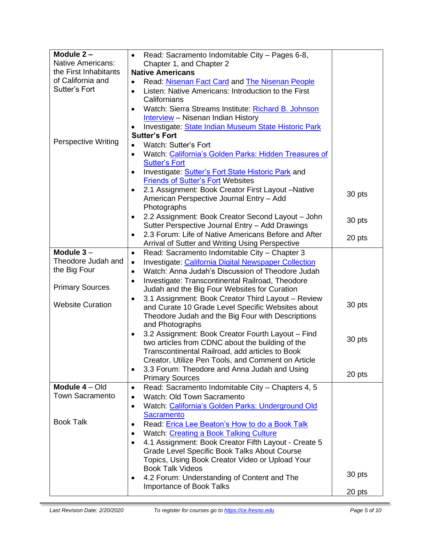| Module 2-                  | Read: Sacramento Indomitable City - Pages 6-8,<br>$\bullet$                                            |        |
|----------------------------|--------------------------------------------------------------------------------------------------------|--------|
| Native Americans:          | Chapter 1, and Chapter 2                                                                               |        |
| the First Inhabitants      | <b>Native Americans</b>                                                                                |        |
| of California and          | Read: Nisenan Fact Card and The Nisenan People<br>٠                                                    |        |
| Sutter's Fort              | Listen: Native Americans: Introduction to the First<br>$\bullet$                                       |        |
|                            | Californians                                                                                           |        |
|                            | Watch: Sierra Streams Institute: Richard B. Johnson<br>$\bullet$                                       |        |
|                            | <b>Interview</b> - Nisenan Indian History                                                              |        |
|                            | Investigate: State Indian Museum State Historic Park                                                   |        |
|                            | <b>Sutter's Fort</b>                                                                                   |        |
| <b>Perspective Writing</b> | <b>Watch: Sutter's Fort</b>                                                                            |        |
|                            | Watch: California's Golden Parks: Hidden Treasures of<br>$\bullet$                                     |        |
|                            | <b>Sutter's Fort</b>                                                                                   |        |
|                            | Investigate: Sutter's Fort State Historic Park and                                                     |        |
|                            | <b>Friends of Sutter's Fort Websites</b>                                                               |        |
|                            | 2.1 Assignment: Book Creator First Layout -Native                                                      | 30 pts |
|                            | American Perspective Journal Entry - Add                                                               |        |
|                            | Photographs                                                                                            |        |
|                            | 2.2 Assignment: Book Creator Second Layout - John                                                      | 30 pts |
|                            | Sutter Perspective Journal Entry - Add Drawings                                                        |        |
|                            | 2.3 Forum: Life of Native Americans Before and After                                                   | 20 pts |
|                            | <b>Arrival of Sutter and Writing Using Perspective</b>                                                 |        |
| Module $3-$                | Read: Sacramento Indomitable City - Chapter 3<br>$\bullet$                                             |        |
| Theodore Judah and         | <b>Investigate: California Digital Newspaper Collection</b><br>$\bullet$                               |        |
| the Big Four               | Watch: Anna Judah's Discussion of Theodore Judah<br>$\bullet$                                          |        |
|                            | Investigate: Transcontinental Railroad, Theodore<br>٠                                                  |        |
| <b>Primary Sources</b>     | Judah and the Big Four Websites for Curation                                                           |        |
|                            | 3.1 Assignment: Book Creator Third Layout - Review<br>$\bullet$                                        |        |
| <b>Website Curation</b>    | and Curate 10 Grade Level Specific Websites about                                                      | 30 pts |
|                            | Theodore Judah and the Big Four with Descriptions                                                      |        |
|                            | and Photographs                                                                                        |        |
|                            | 3.2 Assignment: Book Creator Fourth Layout - Find                                                      | 30 pts |
|                            | two articles from CDNC about the building of the                                                       |        |
|                            | Transcontinental Railroad, add articles to Book                                                        |        |
|                            | Creator, Utilize Pen Tools, and Comment on Article                                                     |        |
|                            | 3.3 Forum: Theodore and Anna Judah and Using<br>$\bullet$                                              | 20 pts |
| Module 4 - Old             | <b>Primary Sources</b>                                                                                 |        |
| <b>Town Sacramento</b>     | Read: Sacramento Indomitable City - Chapters 4, 5<br>$\bullet$                                         |        |
|                            | Watch: Old Town Sacramento<br>$\bullet$                                                                |        |
|                            | Watch: California's Golden Parks: Underground Old                                                      |        |
| <b>Book Talk</b>           | <b>Sacramento</b>                                                                                      |        |
|                            | Read: Erica Lee Beaton's How to do a Book Talk                                                         |        |
|                            | Watch: Creating a Book Talking Culture                                                                 |        |
|                            | 4.1 Assignment: Book Creator Fifth Layout - Create 5<br>$\bullet$                                      |        |
|                            | <b>Grade Level Specific Book Talks About Course</b><br>Topics, Using Book Creator Video or Upload Your |        |
|                            | <b>Book Talk Videos</b>                                                                                |        |
|                            | 4.2 Forum: Understanding of Content and The                                                            | 30 pts |
|                            | <b>Importance of Book Talks</b>                                                                        |        |
|                            |                                                                                                        | 20 pts |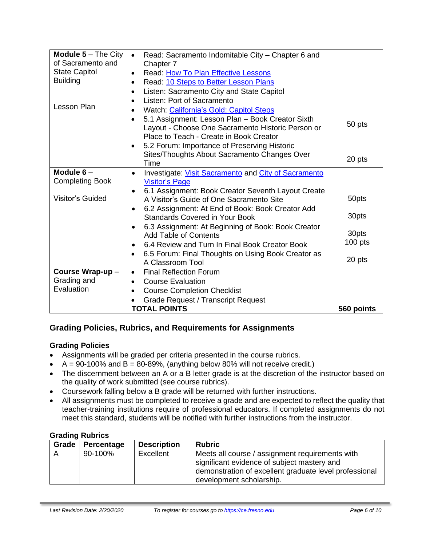| <b>Module <math>5 - The City</math></b><br>of Sacramento and | Read: Sacramento Indomitable City - Chapter 6 and<br>$\bullet$    |            |
|--------------------------------------------------------------|-------------------------------------------------------------------|------------|
| <b>State Capitol</b>                                         | Chapter 7                                                         |            |
| <b>Building</b>                                              | Read: How To Plan Effective Lessons<br>$\bullet$                  |            |
|                                                              | Read: 10 Steps to Better Lesson Plans<br>$\bullet$                |            |
|                                                              | Listen: Sacramento City and State Capitol<br>$\bullet$            |            |
| Lesson Plan                                                  | Listen: Port of Sacramento                                        |            |
|                                                              | Watch: California's Gold: Capitol Steps<br>$\bullet$              |            |
|                                                              | 5.1 Assignment: Lesson Plan - Book Creator Sixth<br>$\bullet$     | 50 pts     |
|                                                              | Layout - Choose One Sacramento Historic Person or                 |            |
|                                                              | Place to Teach - Create in Book Creator                           |            |
|                                                              | 5.2 Forum: Importance of Preserving Historic<br>$\bullet$         |            |
|                                                              | Sites/Thoughts About Sacramento Changes Over                      | 20 pts     |
|                                                              | Time                                                              |            |
| Module $6-$                                                  | Investigate: Visit Sacramento and City of Sacramento<br>$\bullet$ |            |
| <b>Completing Book</b>                                       | <b>Visitor's Page</b>                                             |            |
|                                                              | 6.1 Assignment: Book Creator Seventh Layout Create<br>٠           |            |
| Visitor's Guided                                             | A Visitor's Guide of One Sacramento Site                          | 50pts      |
|                                                              | 6.2 Assignment: At End of Book: Book Creator Add                  |            |
|                                                              | Standards Covered in Your Book                                    | 30pts      |
|                                                              | 6.3 Assignment: At Beginning of Book: Book Creator                |            |
|                                                              | <b>Add Table of Contents</b>                                      | 30pts      |
|                                                              | 6.4 Review and Turn In Final Book Creator Book                    | $100$ pts  |
|                                                              | 6.5 Forum: Final Thoughts on Using Book Creator as<br>٠           |            |
|                                                              | A Classroom Tool                                                  | 20 pts     |
| Course Wrap-up-                                              | <b>Final Reflection Forum</b><br>$\bullet$                        |            |
| Grading and                                                  | <b>Course Evaluation</b><br>$\bullet$                             |            |
| Evaluation                                                   | <b>Course Completion Checklist</b><br>$\bullet$                   |            |
|                                                              | <b>Grade Request / Transcript Request</b>                         |            |
|                                                              | <b>TOTAL POINTS</b>                                               | 560 points |

# **Grading Policies, Rubrics, and Requirements for Assignments**

#### **Grading Policies**

- Assignments will be graded per criteria presented in the course rubrics.
- $A = 90-100\%$  and  $B = 80-89\%$ , (anything below 80% will not receive credit.)
- The discernment between an A or a B letter grade is at the discretion of the instructor based on the quality of work submitted (see course rubrics).
- Coursework falling below a B grade will be returned with further instructions.
- All assignments must be completed to receive a grade and are expected to reflect the quality that teacher-training institutions require of professional educators. If completed assignments do not meet this standard, students will be notified with further instructions from the instructor.

#### **Grading Rubrics**

| Grade | <b>Percentage</b> | <b>Description</b> | <b>Rubric</b>                                                                                                                                                                        |
|-------|-------------------|--------------------|--------------------------------------------------------------------------------------------------------------------------------------------------------------------------------------|
| A     | 90-100%           | Excellent          | Meets all course / assignment requirements with<br>significant evidence of subject mastery and<br>demonstration of excellent graduate level professional<br>development scholarship. |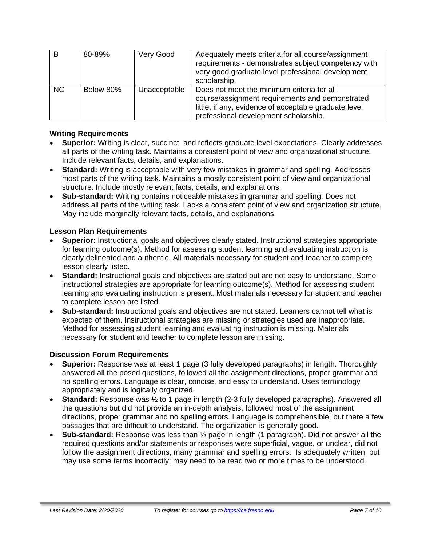| B         | 80-89%    | Very Good    | Adequately meets criteria for all course/assignment<br>requirements - demonstrates subject competency with<br>very good graduate level professional development<br>scholarship.                 |
|-----------|-----------|--------------|-------------------------------------------------------------------------------------------------------------------------------------------------------------------------------------------------|
| <b>NC</b> | Below 80% | Unacceptable | Does not meet the minimum criteria for all<br>course/assignment requirements and demonstrated<br>little, if any, evidence of acceptable graduate level<br>professional development scholarship. |

#### **Writing Requirements**

- **Superior:** Writing is clear, succinct, and reflects graduate level expectations. Clearly addresses all parts of the writing task. Maintains a consistent point of view and organizational structure. Include relevant facts, details, and explanations.
- **Standard:** Writing is acceptable with very few mistakes in grammar and spelling. Addresses most parts of the writing task. Maintains a mostly consistent point of view and organizational structure. Include mostly relevant facts, details, and explanations.
- **Sub-standard:** Writing contains noticeable mistakes in grammar and spelling. Does not address all parts of the writing task. Lacks a consistent point of view and organization structure. May include marginally relevant facts, details, and explanations.

#### **Lesson Plan Requirements**

- **Superior:** Instructional goals and objectives clearly stated. Instructional strategies appropriate for learning outcome(s). Method for assessing student learning and evaluating instruction is clearly delineated and authentic. All materials necessary for student and teacher to complete lesson clearly listed.
- **Standard:** Instructional goals and objectives are stated but are not easy to understand. Some instructional strategies are appropriate for learning outcome(s). Method for assessing student learning and evaluating instruction is present. Most materials necessary for student and teacher to complete lesson are listed.
- **Sub-standard:** Instructional goals and objectives are not stated. Learners cannot tell what is expected of them. Instructional strategies are missing or strategies used are inappropriate. Method for assessing student learning and evaluating instruction is missing. Materials necessary for student and teacher to complete lesson are missing.

#### **Discussion Forum Requirements**

- **Superior:** Response was at least 1 page (3 fully developed paragraphs) in length. Thoroughly answered all the posed questions, followed all the assignment directions, proper grammar and no spelling errors. Language is clear, concise, and easy to understand. Uses terminology appropriately and is logically organized.
- **Standard:** Response was  $\frac{1}{2}$  to 1 page in length (2-3 fully developed paragraphs). Answered all the questions but did not provide an in-depth analysis, followed most of the assignment directions, proper grammar and no spelling errors. Language is comprehensible, but there a few passages that are difficult to understand. The organization is generally good.
- **Sub-standard:** Response was less than ½ page in length (1 paragraph). Did not answer all the required questions and/or statements or responses were superficial, vague, or unclear, did not follow the assignment directions, many grammar and spelling errors. Is adequately written, but may use some terms incorrectly; may need to be read two or more times to be understood.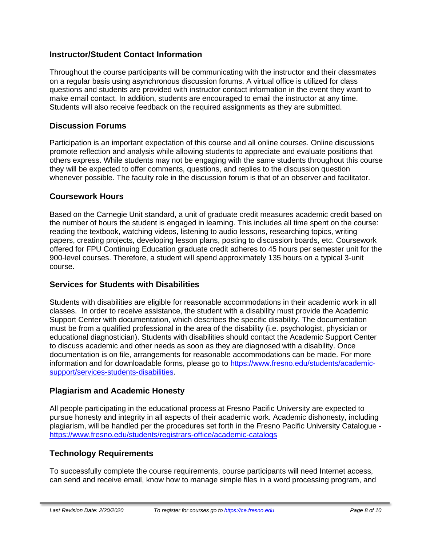# **Instructor/Student Contact Information**

Throughout the course participants will be communicating with the instructor and their classmates on a regular basis using asynchronous discussion forums. A virtual office is utilized for class questions and students are provided with instructor contact information in the event they want to make email contact. In addition, students are encouraged to email the instructor at any time. Students will also receive feedback on the required assignments as they are submitted.

### **Discussion Forums**

Participation is an important expectation of this course and all online courses. Online discussions promote reflection and analysis while allowing students to appreciate and evaluate positions that others express. While students may not be engaging with the same students throughout this course they will be expected to offer comments, questions, and replies to the discussion question whenever possible. The faculty role in the discussion forum is that of an observer and facilitator.

#### **Coursework Hours**

Based on the Carnegie Unit standard, a unit of graduate credit measures academic credit based on the number of hours the student is engaged in learning. This includes all time spent on the course: reading the textbook, watching videos, listening to audio lessons, researching topics, writing papers, creating projects, developing lesson plans, posting to discussion boards, etc. Coursework offered for FPU Continuing Education graduate credit adheres to 45 hours per semester unit for the 900-level courses. Therefore, a student will spend approximately 135 hours on a typical 3-unit course.

# **Services for Students with Disabilities**

Students with disabilities are eligible for reasonable accommodations in their academic work in all classes. In order to receive assistance, the student with a disability must provide the Academic Support Center with documentation, which describes the specific disability. The documentation must be from a qualified professional in the area of the disability (i.e. psychologist, physician or educational diagnostician). Students with disabilities should contact the Academic Support Center to discuss academic and other needs as soon as they are diagnosed with a disability. Once documentation is on file, arrangements for reasonable accommodations can be made. For more information and for downloadable forms, please go to [https://www.fresno.edu/students/academic](https://www.fresno.edu/students/academic-support/services-students-disabilities)[support/services-students-disabilities.](https://www.fresno.edu/students/academic-support/services-students-disabilities)

# **Plagiarism and Academic Honesty**

All people participating in the educational process at Fresno Pacific University are expected to pursue honesty and integrity in all aspects of their academic work. Academic dishonesty, including plagiarism, will be handled per the procedures set forth in the Fresno Pacific University Catalogue <https://www.fresno.edu/students/registrars-office/academic-catalogs>

# **Technology Requirements**

To successfully complete the course requirements, course participants will need Internet access, can send and receive email, know how to manage simple files in a word processing program, and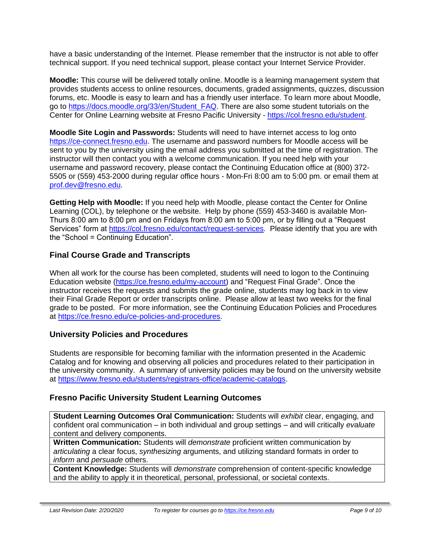have a basic understanding of the Internet. Please remember that the instructor is not able to offer technical support. If you need technical support, please contact your Internet Service Provider.

**Moodle:** This course will be delivered totally online. Moodle is a learning management system that provides students access to online resources, documents, graded assignments, quizzes, discussion forums, etc. Moodle is easy to learn and has a friendly user interface. To learn more about Moodle, go to [https://docs.moodle.org/33/en/Student\\_FAQ.](https://docs.moodle.org/33/en/Student_FAQ) There are also some student tutorials on the Center for Online Learning website at Fresno Pacific University - [https://col.fresno.edu/student.](https://col.fresno.edu/student)

**Moodle Site Login and Passwords:** Students will need to have internet access to log onto [https://ce-connect.fresno.edu.](https://ce-connect.fresno.edu/) The username and password numbers for Moodle access will be sent to you by the university using the email address you submitted at the time of registration. The instructor will then contact you with a welcome communication. If you need help with your username and password recovery, please contact the Continuing Education office at (800) 372- 5505 or (559) 453-2000 during regular office hours - Mon-Fri 8:00 am to 5:00 pm. or email them at [prof.dev@fresno.edu.](mailto:prof.dev@fresno.edu)

**Getting Help with Moodle:** If you need help with Moodle, please contact the Center for Online Learning (COL), by telephone or the website. Help by phone (559) 453-3460 is available Mon-Thurs 8:00 am to 8:00 pm and on Fridays from 8:00 am to 5:00 pm, or by filling out a "Request Services" form at [https://col.fresno.edu/contact/request-services.](https://col.fresno.edu/contact/request-services) Please identify that you are with the "School = Continuing Education".

# **Final Course Grade and Transcripts**

When all work for the course has been completed, students will need to logon to the Continuing Education website [\(https://ce.fresno.edu/my-account\)](https://ce.fresno.edu/my-account) and "Request Final Grade". Once the instructor receives the requests and submits the grade online, students may log back in to view their Final Grade Report or order transcripts online. Please allow at least two weeks for the final grade to be posted. For more information, see the Continuing Education Policies and Procedures at [https://ce.fresno.edu/ce-policies-and-procedures.](https://ce.fresno.edu/ce-policies-and-procedures)

# **University Policies and Procedures**

Students are responsible for becoming familiar with the information presented in the Academic Catalog and for knowing and observing all policies and procedures related to their participation in the university community. A summary of university policies may be found on the university website at [https://www.fresno.edu/students/registrars-office/academic-catalogs.](https://www.fresno.edu/students/registrars-office/academic-catalogs)

# **Fresno Pacific University Student Learning Outcomes**

**Student Learning Outcomes Oral Communication:** Students will *exhibit* clear, engaging, and confident oral communication – in both individual and group settings – and will critically *evaluate*  content and delivery components.

**Written Communication:** Students will *demonstrate* proficient written communication by *articulating* a clear focus, *synthesizing* arguments, and utilizing standard formats in order to *inform* and *persuade* others.

**Content Knowledge:** Students will *demonstrate* comprehension of content-specific knowledge and the ability to apply it in theoretical, personal, professional, or societal contexts.